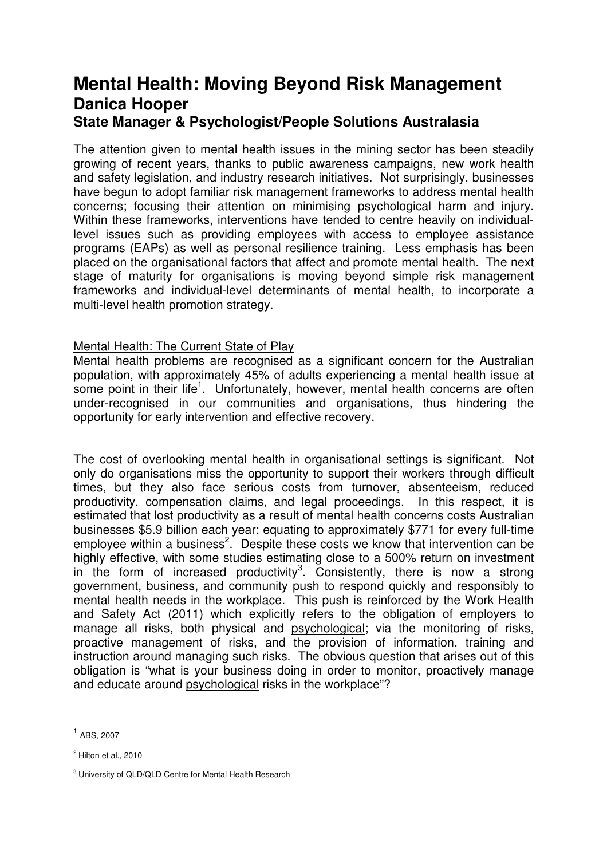# **Mental Health: Moving Beyond Risk Management Danica Hooper State Manager & Psychologist/People Solutions Australasia**

The attention given to mental health issues in the mining sector has been steadily growing of recent years, thanks to public awareness campaigns, new work health and safety legislation, and industry research initiatives. Not surprisingly, businesses have begun to adopt familiar risk management frameworks to address mental health concerns; focusing their attention on minimising psychological harm and injury. Within these frameworks, interventions have tended to centre heavily on individuallevel issues such as providing employees with access to employee assistance programs (EAPs) as well as personal resilience training. Less emphasis has been placed on the organisational factors that affect and promote mental health. The next stage of maturity for organisations is moving beyond simple risk management frameworks and individual-level determinants of mental health, to incorporate a multi-level health promotion strategy.

#### Mental Health: The Current State of Play

Mental health problems are recognised as a significant concern for the Australian population, with approximately 45% of adults experiencing a mental health issue at some point in their life<sup>1</sup>. Unfortunately, however, mental health concerns are often under-recognised in our communities and organisations, thus hindering the opportunity for early intervention and effective recovery.

The cost of overlooking mental health in organisational settings is significant. Not only do organisations miss the opportunity to support their workers through difficult times, but they also face serious costs from turnover, absenteeism, reduced productivity, compensation claims, and legal proceedings. In this respect, it is estimated that lost productivity as a result of mental health concerns costs Australian businesses \$5.9 billion each year; equating to approximately \$771 for every full-time employee within a business<sup>2</sup>. Despite these costs we know that intervention can be highly effective, with some studies estimating close to a 500% return on investment in the form of increased productivity<sup>3</sup>. Consistently, there is now a strong government, business, and community push to respond quickly and responsibly to mental health needs in the workplace. This push is reinforced by the Work Health and Safety Act (2011) which explicitly refers to the obligation of employers to manage all risks, both physical and psychological; via the monitoring of risks, proactive management of risks, and the provision of information, training and instruction around managing such risks. The obvious question that arises out of this obligation is "what is your business doing in order to monitor, proactively manage and educate around psychological risks in the workplace"?

 $\overline{a}$ 

<sup>1</sup> ABS, 2007

<sup>&</sup>lt;sup>2</sup> Hilton et al., 2010

<sup>&</sup>lt;sup>3</sup> University of QLD/QLD Centre for Mental Health Research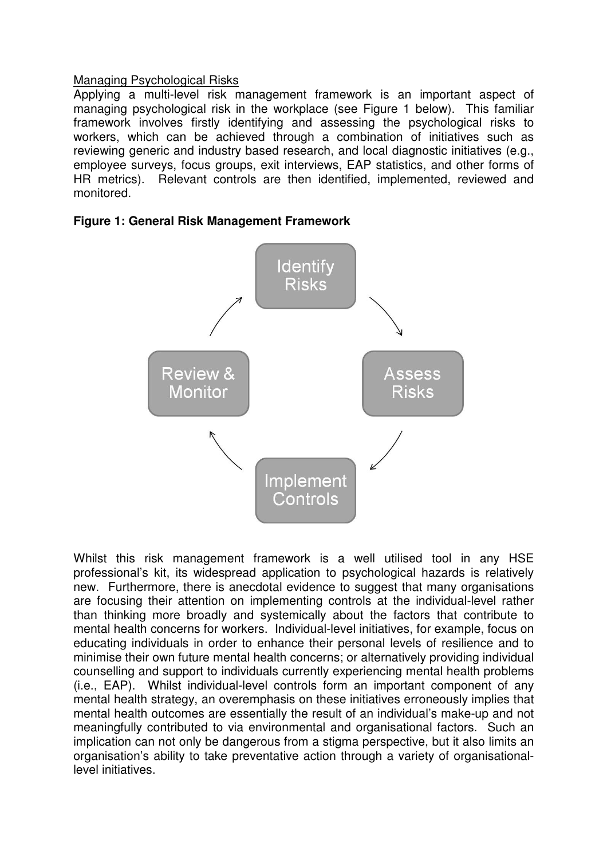#### Managing Psychological Risks

Applying a multi-level risk management framework is an important aspect of managing psychological risk in the workplace (see Figure 1 below). This familiar framework involves firstly identifying and assessing the psychological risks to workers, which can be achieved through a combination of initiatives such as reviewing generic and industry based research, and local diagnostic initiatives (e.g., employee surveys, focus groups, exit interviews, EAP statistics, and other forms of HR metrics). Relevant controls are then identified, implemented, reviewed and monitored.





Whilst this risk management framework is a well utilised tool in any HSE professional's kit, its widespread application to psychological hazards is relatively new. Furthermore, there is anecdotal evidence to suggest that many organisations are focusing their attention on implementing controls at the individual-level rather than thinking more broadly and systemically about the factors that contribute to mental health concerns for workers. Individual-level initiatives, for example, focus on educating individuals in order to enhance their personal levels of resilience and to minimise their own future mental health concerns; or alternatively providing individual counselling and support to individuals currently experiencing mental health problems (i.e., EAP). Whilst individual-level controls form an important component of any mental health strategy, an overemphasis on these initiatives erroneously implies that mental health outcomes are essentially the result of an individual's make-up and not meaningfully contributed to via environmental and organisational factors. Such an implication can not only be dangerous from a stigma perspective, but it also limits an organisation's ability to take preventative action through a variety of organisationallevel initiatives.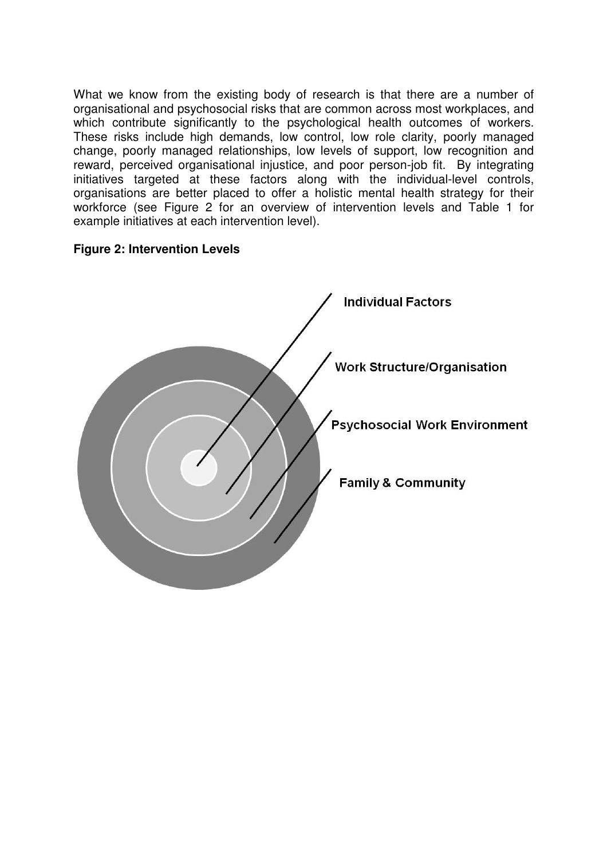What we know from the existing body of research is that there are a number of organisational and psychosocial risks that are common across most workplaces, and which contribute significantly to the psychological health outcomes of workers. These risks include high demands, low control, low role clarity, poorly managed change, poorly managed relationships, low levels of support, low recognition and reward, perceived organisational injustice, and poor person-job fit. By integrating initiatives targeted at these factors along with the individual-level controls, organisations are better placed to offer a holistic mental health strategy for their workforce (see Figure 2 for an overview of intervention levels and Table 1 for example initiatives at each intervention level).

### **Figure 2: Intervention Levels**